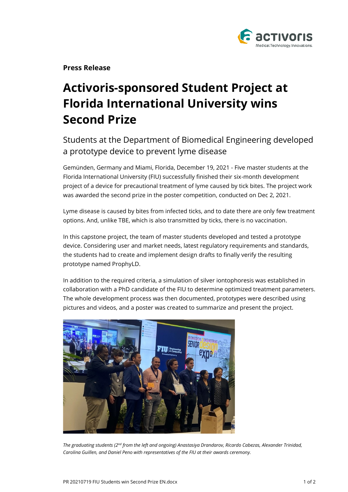

**Press Release**

# **Activoris-sponsored Student Project at Florida International University wins Second Prize**

# Students at the Department of Biomedical Engineering developed a prototype device to prevent lyme disease

Gemünden, Germany and Miami, Florida, December 19, 2021 - Five master students at the Florida International University (FIU) successfully finished their six-month development project of a device for precautional treatment of lyme caused by tick bites. The project work was awarded the second prize in the poster competition, conducted on Dec 2, 2021.

Lyme disease is caused by bites from infected ticks, and to date there are only few treatment options. And, unlike TBE, which is also transmitted by ticks, there is no vaccination.

In this capstone project, the team of master students developed and tested a prototype device. Considering user and market needs, latest regulatory requirements and standards, the students had to create and implement design drafts to finally verify the resulting prototype named ProphyLD.

In addition to the required criteria, a simulation of silver iontophoresis was established in collaboration with a PhD candidate of the FIU to determine optimized treatment parameters. The whole development process was then documented, prototypes were described using pictures and videos, and a poster was created to summarize and present the project.



*The graduating students (2nd from the left and ongoing) Anastasiya Drandarov, Ricardo Cabezas, Alexander Trinidad, Carolina Guillen, and Daniel Peno with representatives of the FIU at their awards ceremony.*